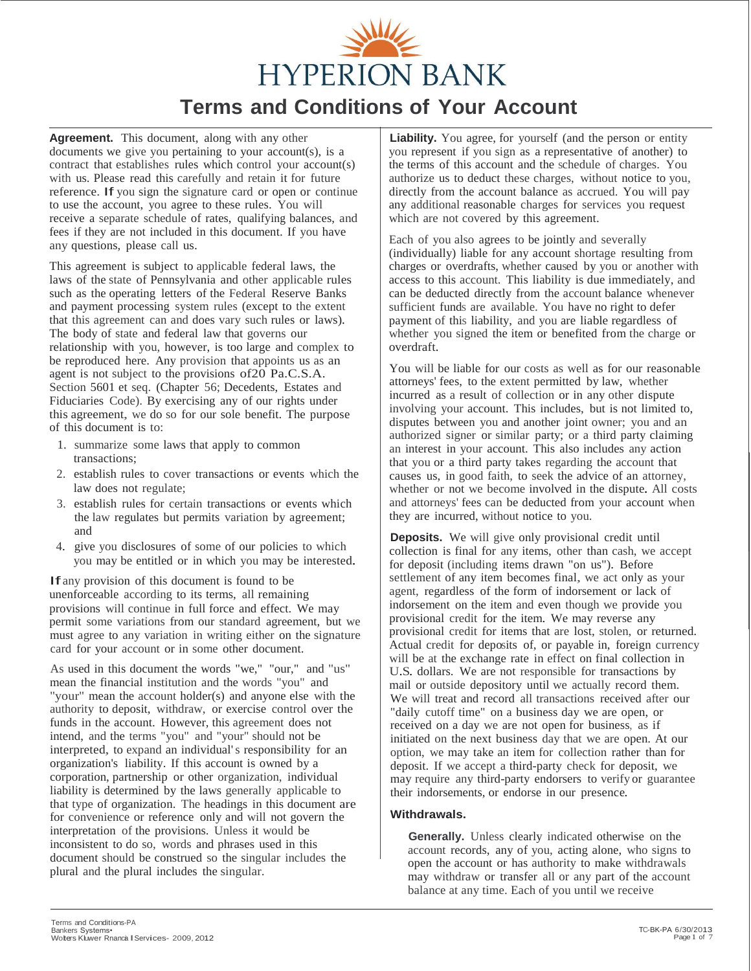

**Agreement.** This document, along with any other documents we give you pertaining to your account(s), is a contract that establishes rules which control your account(s) with us. Please read this carefully and retain it for future reference. If you sign the signature card or open or continue to use the account, you agree to these rules. You will receive a separate schedule of rates, qualifying balances, and fees if they are not included in this document. If you have any questions, please call us.

This agreement is subject to applicable federal laws, the laws of the state of Pennsylvania and other applicable rules such as the operating letters of the Federal Reserve Banks and payment processing system rules (except to the extent that this agreement can and does vary such rules or laws). The body of state and federal law that governs our relationship with you, however, is too large and complex to be reproduced here. Any provision that appoints us as an agent is not subject to the provisions of20 Pa.C.S.A. Section 5601 et seq. (Chapter 56; Decedents, Estates and Fiduciaries Code). By exercising any of our rights under this agreement, we do so for our sole benefit. The purpose of this document is to:

- 1. summarize some laws that apply to common transactions;
- 2. establish rules to cover transactions or events which the law does not regulate;
- 3. establish rules for certain transactions or events which the law regulates but permits variation by agreement; and
- 4. give you disclosures of some of our policies to which you may be entitled or in which you may be interested.

If any provision of this document is found to be unenforceable according to its terms, all remaining provisions will continue in full force and effect. We may permit some variations from our standard agreement, but we must agree to any variation in writing either on the signature card for your account or in some other document.

As used in this document the words "we," "our," and "us" mean the financial institution and the words "you" and "your" mean the account holder(s) and anyone else with the authority to deposit, withdraw, or exercise control over the funds in the account. However, this agreement does not intend, and the terms "you" and "your" should not be interpreted, to expand an individual's responsibility for an organization's liability. If this account is owned by a corporation, partnership or other organization, individual liability is determined by the laws generally applicable to that type of organization. The headings in this document are for convenience or reference only and will not govern the interpretation of the provisions. Unless it would be inconsistent to do so, words and phrases used in this document should be construed so the singular includes the plural and the plural includes the singular.

**Liability.** You agree, for yourself (and the person or entity you represent if you sign as a representative of another) to the terms of this account and the schedule of charges. You authorize us to deduct these charges, without notice to you, directly from the account balance as accrued. You will pay any additional reasonable charges for services you request which are not covered by this agreement.

Each of you also agrees to be jointly and severally (individually) liable for any account shortage resulting from charges or overdrafts, whether caused by you or another with access to this account. This liability is due immediately, and can be deducted directly from the account balance whenever sufficient funds are available. You have no right to defer payment of this liability, and you are liable regardless of whether you signed the item or benefited from the charge or overdraft.

You will be liable for our costs as well as for our reasonable attorneys' fees, to the extent permitted by law, whether incurred as a result of collection or in any other dispute involving your account. This includes, but is not limited to, disputes between you and another joint owner; you and an authorized signer or similar party; or a third party claiming an interest in your account. This also includes any action that you or a third party takes regarding the account that causes us, in good faith, to seek the advice of an attorney, whether or not we become involved in the dispute. All costs and attorneys' fees can be deducted from your account when they are incurred, without notice to you.

**Deposits.** We will give only provisional credit until collection is final for any items, other than cash, we accept for deposit (including items drawn "on us"). Before settlement of any item becomes final, we act only as your agent, regardless of the form of indorsement or lack of indorsement on the item and even though we provide you provisional credit for the item. We may reverse any provisional credit for items that are lost, stolen, or returned. Actual credit for deposits of, or payable in, foreign currency will be at the exchange rate in effect on final collection in U.S. dollars. We are not responsible for transactions by mail or outside depository until we actually record them. We will treat and record all transactions received after our "daily cutoff time" on a business day we are open, or received on a day we are not open for business, as if initiated on the next business day that we are open. At our option, we may take an item for collection rather than for deposit. If we accept a third-party check for deposit, we may require any third-party endorsers to verify or guarantee their indorsements, or endorse in our presence.

# **Withdrawals.**

**Generally.** Unless clearly indicated otherwise on the account records, any of you, acting alone, who signs to open the account or has authority to make withdrawals may withdraw or transfer all or any part of the account balance at any time. Each of you until we receive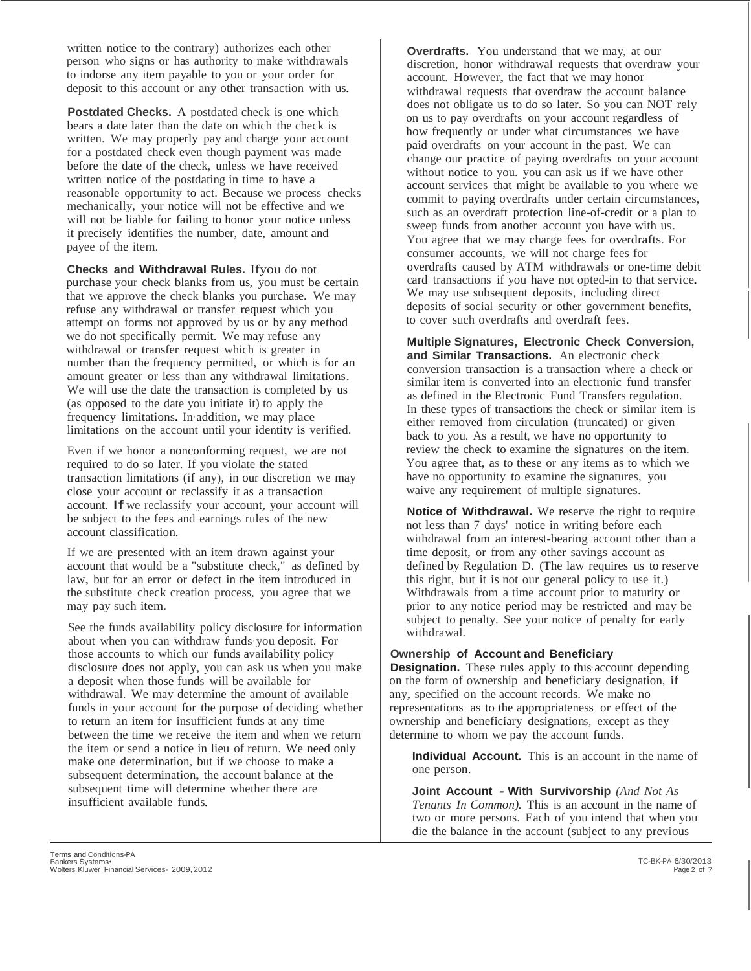written notice to the contrary) authorizes each other person who signs or has authority to make withdrawals to indorse any item payable to you or your order for deposit to this account or any other transaction with us.

**Postdated Checks.** A postdated check is one which bears a date later than the date on which the check is written. We may properly pay and charge your account for a postdated check even though payment was made before the date of the check, unless we have received written notice of the postdating in time to have a reasonable opportunity to act. Because we process checks mechanically, your notice will not be effective and we will not be liable for failing to honor your notice unless it precisely identifies the number, date, amount and payee of the item.

**Checks and Withdrawal Rules.** Ifyou do not purchase your check blanks from us, you must be certain that we approve the check blanks you purchase. We may refuse any withdrawal or transfer request which you attempt on forms not approved by us or by any method we do not specifically permit. We may refuse any withdrawal or transfer request which is greater in number than the frequency permitted, or which is for an amount greater or less than any withdrawal limitations. We will use the date the transaction is completed by us (as opposed to the date you initiate it) to apply the frequency limitations. In·addition, we may place limitations on the account until your identity is verified.

Even if we honor a nonconforming request, we are not required to do so later. If you violate the stated transaction limitations (if any), in our discretion we may close your account or reclassify it as a transaction account. If we reclassify your account, your account will be subject to the fees and earnings rules of the new account classification.

If we are presented with an item drawn against your account that would be a "substitute check," as defined by law, but for an error or defect in the item introduced in the substitute check creation process, you agree that we may pay such item.

See the funds availability policy disclosure for information about when you can withdraw funds·you deposit. For those accounts to which our funds availability policy disclosure does not apply, you can ask us when you make a deposit when those funds will be available for withdrawal. We may determine the amount of available funds in your account for the purpose of deciding whether to return an item for insufficient funds at any time between the time we receive the item and when we return the item or send a notice in lieu of return. We need only make one determination, but if we choose to make <sup>a</sup> subsequent determination, the account balance at the subsequent time will determine whether there are insufficient available funds.

**Overdrafts.** You understand that we may, at our discretion, honor withdrawal requests that overdraw your account. However, the fact that we may honor withdrawal requests that overdraw the account balance does not obligate us to do so later. So you can NOT rely on us to pay overdrafts on your account regardless of how frequently or under what circumstances we have paid overdrafts on your account in the past. We can change our practice of paying overdrafts on your account without notice to you. you can ask us if we have other account services that might be available to you where we commit to paying overdrafts under certain circumstances, such as an overdraft protection line-of-credit or a plan to sweep funds from another account you have with us. You agree that we may charge fees for overdrafts. For consumer accounts, we will not charge fees for overdrafts caused by ATM withdrawals or one-time debit card transactions if you have not opted-in to that service. We may use subsequent deposits, including direct deposits of social security or other government benefits, to cover such overdrafts and overdraft fees.

**Multiple Signatures, Electronic Check Conversion, and Similar Transactions.** An electronic check conversion transaction is a transaction where a check or similar item is converted into an electronic fund transfer as defined in the Electronic Fund Transfers regulation. In these types of transactions the check or similar item is either removed from circulation (truncated) or given back to you. As a result, we have no opportunity to review the check to examine the signatures on the item. You agree that, as to these or any items as to which we have no opportunity to examine the signatures, you waive any requirement of multiple signatures.

**Notice of Withdrawal.** We reserve the right to require not less than 7 days' notice in writing before each withdrawal from an interest-bearing account other than a time deposit, or from any other savings account as defined by Regulation D. (The law requires us to reserve this right, but it is not our general policy to use it.) Withdrawals from a time account prior to maturity or prior to any notice period may be restricted and may be subject to penalty. See your notice of penalty for early withdrawal.

## **Ownership of Account and Beneficiary**

**Designation.** These rules apply to this account depending on the form of ownership and beneficiary designation, if any, specified on the account records. We make no representations as to the appropriateness or effect of the ownership and beneficiary designations, except as they determine to whom we pay the account funds.

**Individual Account.** This is an account in the name of one person.

**Joint Account - With Survivorship** *(And Not As Tenants In Common).* This is an account in the name of two or more persons. Each of you intend that when you die the balance in the account (subject to any previous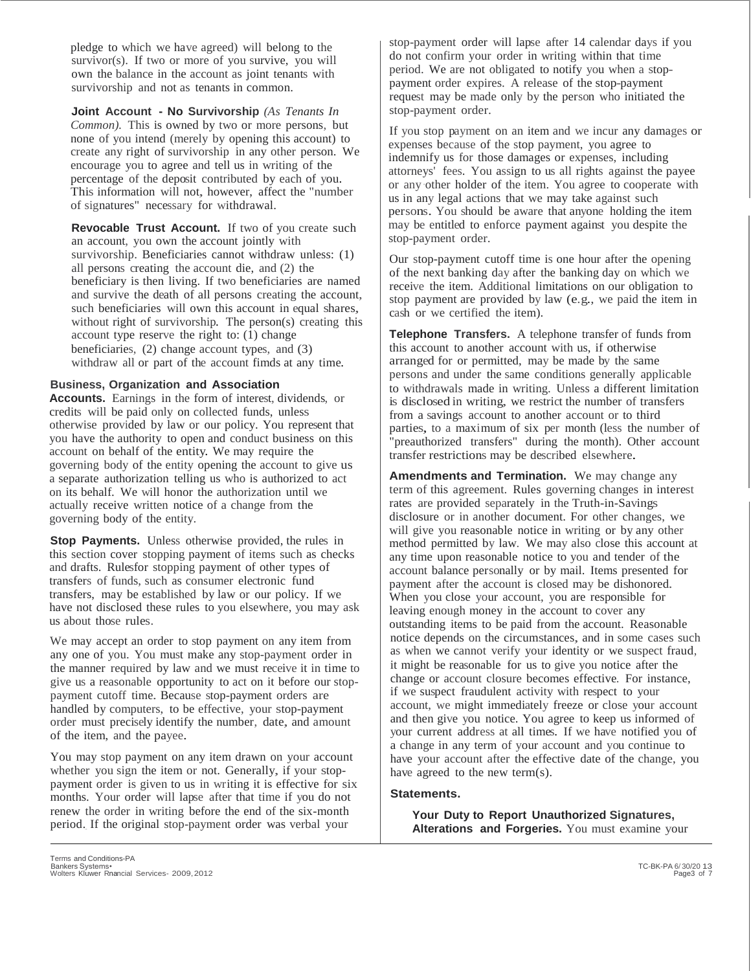pledge to which we have agreed) will belong to the survivor(s). If two or more of you survive, you will own the balance in the account as joint tenants with survivorship and not as tenants in common.

**Joint Account - No Survivorship** *(As Tenants In Common).* This is owned by two or more persons, but none of you intend (merely by opening this account) to create any right of survivorship in any other person. We encourage you to agree and tell us in writing of the percentage of the deposit contributed by each of you. This information will not, however, affect the "number of signatures" necessary for withdrawal.

**Revocable Trust Account.** If two of you create such an account, you own the account jointly with survivorship. Beneficiaries cannot withdraw unless: (1) all persons creating the account die, and (2) the beneficiary is then living. If two beneficiaries are named and survive the death of all persons creating the account, such beneficiaries will own this account in equal shares, without right of survivorship. The person(s) creating this account type reserve the right to: (1) change beneficiaries, (2) change account types, and (3) withdraw all or part of the account fimds at any time.

#### **Business, Organization and Association**

**Accounts.** Earnings in the form of interest, dividends, or credits will be paid only on collected funds, unless otherwise provided by law or our policy. You represent that you have the authority to open and conduct business on this account on behalf of the entity. We may require the governing body of the entity opening the account to give us a separate authorization telling us who is authorized to act on its behalf. We will honor the authorization until we actually receive written notice of a change from the governing body of the entity.

**Stop Payments.** Unless otherwise provided, the rules in this section cover stopping payment of items such as checks and drafts. Rulesfor stopping payment of other types of transfers of funds, such as consumer electronic fund transfers, may be established by law or our policy. If we have not disclosed these rules to you elsewhere, you may ask us about those rules.

We may accept an order to stop payment on any item from any one of you. You must make any stop-payment order in the manner required by law and we must receive it in time to give us a reasonable opportunity to act on it before our stoppayment cutoff time. Because stop-payment orders are handled by computers, to be effective, your stop-payment order must precisely identify the number, date, and amount of the item, and the payee.

You may stop payment on any item drawn on your account whether you sign the item or not. Generally, if your stoppayment order is given to us in writing it is effective for six months. Your order will lapse after that time if you do not renew the order in writing before the end of the six-month period.\_ If the original stop-payment order was verbal your

stop-payment order will lapse after 14 calendar days if you do not confirm your order in writing within that time period. We are not obligated to notify you when a stoppayment order expires. A release of the stop-payment request may be made only by the person who initiated the stop-payment order.

If you stop payment on an item and we incur any damages or expenses because of the stop payment, you agree to indemnify us for those damages or expenses, including attorneys' fees. You assign to us all rights against the payee or any·other holder of the item. You agree to cooperate with us in any legal actions that we may take against such persons. You should be aware that anyone holding the item may be entitled to enforce payment against you despite the stop-payment order.

Our stop-payment cutoff time is one hour after the opening of the next banking day after the banking day on which we receive the item. Additional limitations on our obligation to stop payment are provided by law (e.g., we paid the item in cash or we certified the item).

**Telephone Transfers.** A telephone transfer of funds from this account to another account with us, if otherwise arranged for or permitted, may be made by the same persons and under the same conditions generally applicable to withdrawals made in writing. Unless a different limitation is disclosed in writing, we restrict the number of transfers from a savings account to another account or to third parties, to <sup>a</sup> maximum of six per month (less the number of "preauthorized transfers" during the month). Other account transfer restrictions may be described elsewhere.

**Amendments and Termination.** We may change any term of this agreement. Rules governing changes in interest rates are provided separately in the Truth-in-Savings disclosure or in another document. For other changes, we will give you reasonable notice in writing or by any other method permitted by law. We may also close this account at any time upon reasonable notice to you and tender of the account balance personally or by mail. Items presented for payment after the account is closed may be dishonored. When you close your account, you are responsible for leaving enough money in the account to cover any outstanding items to be paid from the account. Reasonable notice depends on the circumstances, and in some cases such as when we cannot verify your identity or we suspect fraud, it might be reasonable for us to give you notice after the change or account closure becomes effective. For instance, if we suspect fraudulent activity with respect to your account, we might immediately freeze or close your account and then give you notice. You agree to keep us informed of your current address at all times. If we have notified you of a change in any term of your account and you continue to have your account after the effective date of the change, you have agreed to the new term(s).

#### **Statements.**

**Your Duty to Report Unauthorized Signatures, Alterations and Forgeries.** You must examine your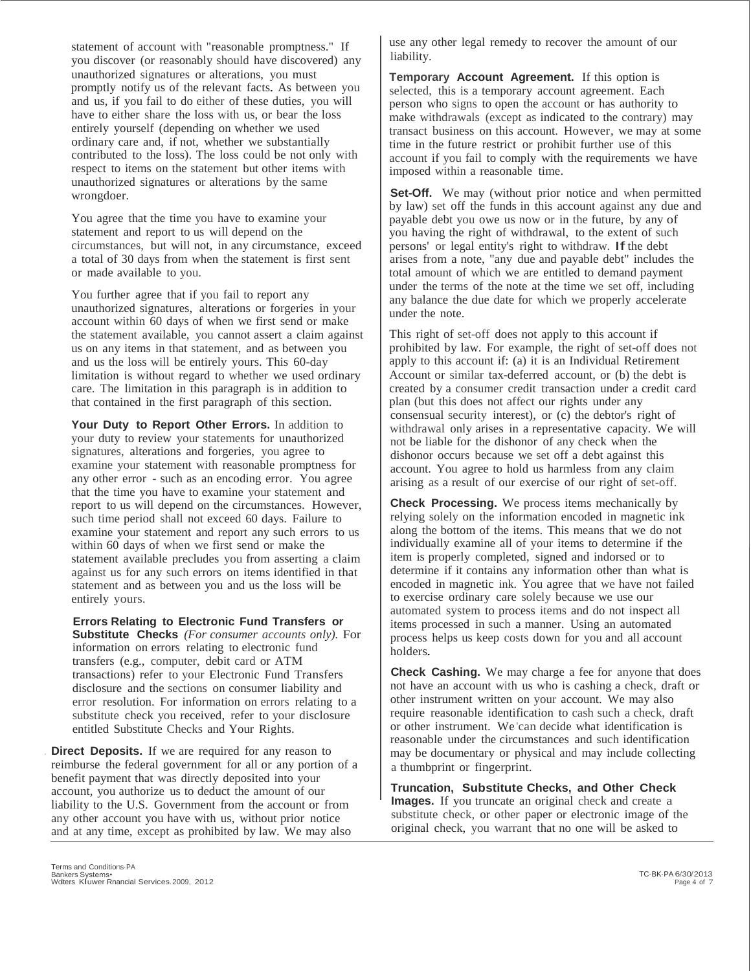statement of account with "reasonable promptness." If you discover (or reasonably should have discovered) any unauthorized signatures or alterations, you must promptly notify us of the relevant facts. As between you and us, if you fail to do either of these duties, you will have to either share the loss with us, or bear the loss entirely yourself (depending on whether we used ordinary care and, if not, whether we substantially contributed to the loss). The loss could be not only with respect to items on the statement but other items with unauthorized signatures or alterations by the same wrongdoer.

You agree that the time you have to examine your statement and report to us will depend on the circumstances, but will not, in any circumstance, exceed a total of 30 days from when the statement is first sent or made available to you.

You further agree that if you fail to report any unauthorized signatures, alterations or forgeries in your account within 60 days of when we first send or make the statement available, you cannot assert a claim against us on any items in that statement, and as between you and us the loss will be entirely yours. This 60-day limitation is without regard to whether we used ordinary care. The limitation in this paragraph is in addition to that contained in the first paragraph of this section.

**Your Duty to Report Other Errors.** In addition to your duty to review your statements for unauthorized signatures, alterations and forgeries, you agree to examine your statement with reasonable promptness for any other error - such as an encoding error. You agree that the time you have to examine your statement and report to us will depend on the circumstances. However, such time period shall not exceed 60 days. Failure to examine your statement and report any such errors to us within 60 days of when we first send or make the statement available precludes you from asserting a claim against us for any such errors on items identified in that statement and as between you and us the loss will be entirely yours.

**Errors Relating to Electronic Fund Transfers or Substitute Checks** *(For consumer accounts only).* For information on errors relating to electronic fund transfers (e.g., computer, debit card or ATM transactions) refer to your Electronic Fund Transfers disclosure and the sections on consumer liability and error resolution. For information on errors relating to a substitute check you received, refer to your disclosure entitled Substitute Checks and Your Rights.

**Direct Deposits.** If we are required for any reason to reimburse the federal government for all or any portion of a benefit payment that was directly deposited into your account, you authorize us to deduct the amount of our liability to the U.S. Government from the account or from any other account you have with us, without prior notice and at any time, except as prohibited by law. We may also

use any other legal remedy to recover the amount of our liability.

**Temporary Account Agreement.** If this option is selected, this is a temporary account agreement. Each person who signs to open the account or has authority to make withdrawals (except as indicated to the contrary) may transact business on this account. However, we may at some time in the future restrict or prohibit further use of this account if you fail to comply with the requirements we have imposed within a reasonable time.

**Set-Off.** We may (without prior notice and when permitted by law) set off the funds in this account against any due and payable debt you owe us now or in the future, by any of you having the right of withdrawal, to the extent of such persons' or legal entity's right to withdraw. If the debt arises from a note, "any due and payable debt" includes the total amount of which we are entitled to demand payment under the terms of the note at the time we set off, including any balance the due date for which we properly accelerate under the note.

This right of set-off does not apply to this account if prohibited by law. For example, the right of set-off does not apply to this account if: (a) it is an Individual Retirement Account or similar tax-deferred account, or (b) the debt is created by a consumer credit transaction under a credit card plan (but this does not affect our rights under any consensual security interest), or (c) the debtor's right of withdrawal only arises in a representative capacity. We will not be liable for the dishonor of any check when the dishonor occurs because we set off a debt against this account. You agree to hold us harmless from any claim arising as a result of our exercise of our right of set-off.

**Check Processing.** We process items mechanically by relying solely on the information encoded in magnetic ink along the bottom of the items. This means that we do not individually examine all of your items to determine if the item is properly completed, signed and indorsed or to determine if it contains any information other than what is encoded in magnetic ink. You agree that we have not failed to exercise ordinary care solely because we use our automated system to process items and do not inspect all items processed in such a manner. Using an automated process helps us keep costs down for you and all account holders.

**Check Cashing.** We may charge a fee for anyone that does not have an account with us who is cashing a check, draft or other instrument written on your account. We may also require reasonable identification to cash such a check, draft or other instrument. We'can decide what identification is reasonable under the circumstances and such identification may be documentary or physical and may include collecting a thumbprint or fingerprint.

**Truncation, Substitute Checks, and Other Check Images.** If you truncate an original check and create a substitute check, or other paper or electronic image of the original check, you warrant that no one will be asked to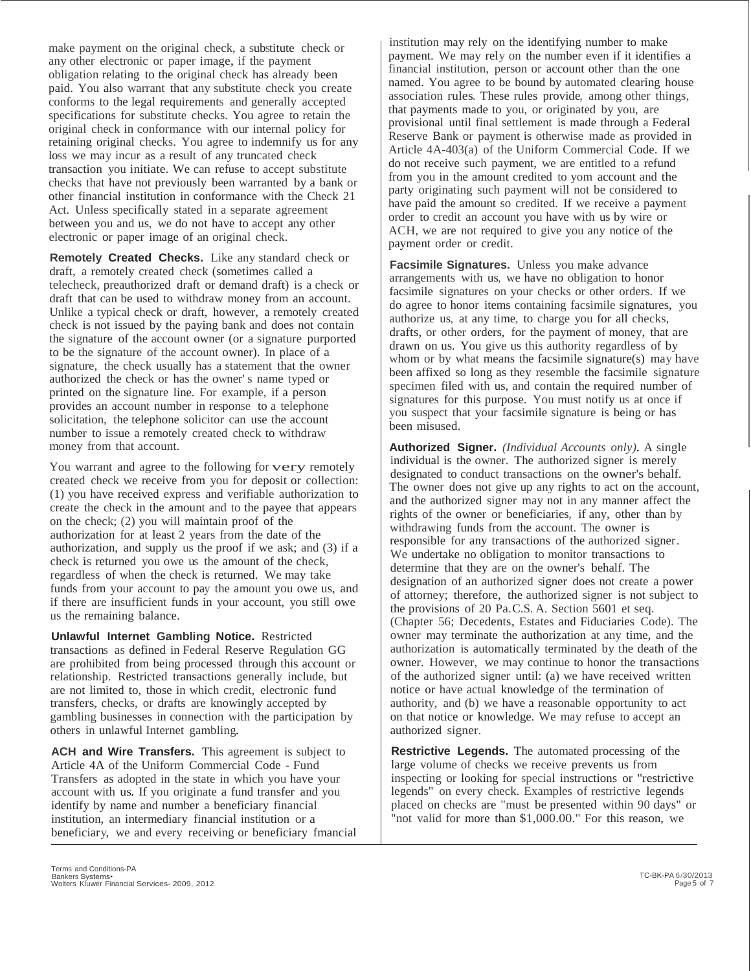make payment on the original check, a substitute check or any other electronic or paper image, if the payment obligation relating to the original check has already been paid. You also warrant that any substitute check you create conforms to the legal requirements and generally accepted specifications for substitute checks. You agree to retain the original check in conformance with our internal policy for retaining original checks. You agree to indemnify us for any loss we may incur as a result of any truncated check transaction you initiate. We can refuse to accept substitute checks that have not previously been warranted by a bank or other financial institution in conformance with the Check 21 Act. Unless specifically stated in a separate agreement between you and us, we do not have to accept any other electronic or paper image of an original check.

**Remotely Created Checks.** Like any standard check or draft, a remotely created check (sometimes called a telecheck, preauthorized draft or demand draft) is a check or draft that can be used to withdraw money from an account. Unlike a typical check or draft, however, a remotely created check is not issued by the paying bank and does not contain the signature of the account owner (or a signature purported to be the signature of the account owner). In place of a signature, the check usually has a statement that the owner authorized the check or has the owner' s name typed or printed on the signature line. For example, if a person provides an account number in response to a telephone solicitation, the telephone solicitor can use the account number to issue a remotely created check to withdraw money from that account.

You warrant and agree to the following for very remotely created check we receive from you for deposit or collection: (1) you have received express and verifiable authorization to create the check in the amount and to the payee that appears on the check; (2) you will maintain proof of the authorization for at least 2 years from the date of the authorization, and supply us the proof if we ask; and (3) if a check is returned you owe us the amount of the check, regardless of when the check is returned. We may take funds from your account to pay the amount you owe us, and if there are insufficient funds in your account, you still owe us the remaining balance.

**Unlawful Internet Gambling Notice.** Restricted transactions as defined in Federal Reserve Regulation GG are prohibited from being processed through this account or relationship. Restricted transactions generally include, but are not limited to, those in which credit, electronic fund transfers, checks, or drafts are knowingly accepted by gambling businesses in connection with the participation by others in unlawful Internet gambling.

**ACH and Wire Transfers.** This agreement is subject to Article 4A of the Uniform Commercial Code - Fund Transfers as adopted in the state in which you have your account with us. If you originate a fund transfer and you identify by name and number a beneficiary financial institution, an intermediary financial institution or a beneficiary, we and every receiving or beneficiary fmancial

institution may rely on the identifying number to make payment. We may rely on the number even if it identifies a financial institution, person or account other than the one named. You agree to be bound by automated clearing house association rules. These rules provide, among other things, that payments made to you, or originated by you, are provisional until final settlement is made through a Federal Reserve Bank or payment is otherwise made as provided in Article 4A-403(a) of the Uniform Commercial Code. If we do not receive such payment, we are entitled to a refund from you in the amount credited to yom account and the party originating such payment will not be considered to have paid the amount so credited. If we receive a payment order to credit an account you have with us by wire or ACH, we are not required to give you any notice of the payment order or credit.

**Facsimile Signatures.** Unless you make advance arrangements with us, we have no obligation to honor facsimile signatures on your checks or other orders. If we do agree to honor items containing facsimile signatures, you authorize us, at any time, to charge you for all checks, drafts, or other orders, for the payment of money, that are drawn on us. You give us this authority regardless of by whom or by what means the facsimile signature(s) may have been affixed so long as they resemble the facsimile signature specimen filed with us, and contain the required number of signatures for this purpose. You must notify us at once if you suspect that your facsimile signature is being or has been misused.

**Authorized Signer.** *(Individual Accounts only).* A single individual is the owner. The authorized signer is merely designated to conduct transactions on the owner's behalf. The owner does not give up any rights to act on the account, and the authorized signer may not in any manner affect the rights of the owner or beneficiaries, if any, other than by withdrawing funds from the account. The owner is responsible for any transactions of the authorized signer. We undertake no obligation to monitor transactions to determine that they are on the owner's behalf. The designation of an authorized signer does not create a power of attorney; therefore, the authorized signer is not subject to the provisions of 20 Pa.C.S. A. Section 5601 et seq. (Chapter 56; Decedents, Estates and Fiduciaries Code). The owner may terminate the authorization at any time, and the authorization is automatically terminated by the death of the owner. However, we may continue to honor the transactions of the authorized signer until: (a) we have received written notice or have actual knowledge of the termination of authority, and (b) we have a reasonable opportunity to act on that notice or knowledge. We may refuse to accept an authorized signer.

**Restrictive Legends.** The automated processing of the large volume of checks we receive prevents us from inspecting or looking for special instructions or "restrictive legends" on every check. Examples of restrictive legends placed on checks are "must be presented within 90 days" or "not valid for more than \$1,000.00." For this reason, we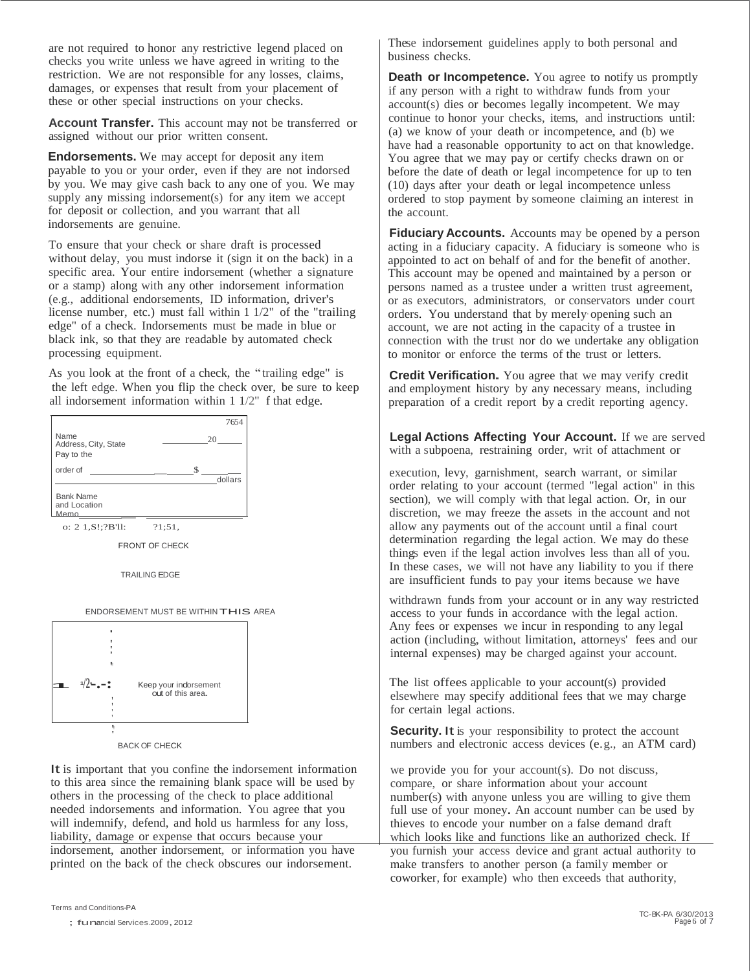are not required to honor any restrictive legend placed on checks you write unless we have agreed in writing to the restriction. We are not responsible for any losses, claims, damages, or expenses that result from your placement of these or other special instructions on your checks.

**Account Transfer.** This account may not be transferred or assigned without our prior written consent.

**Endorsements.** We may accept for deposit any item payable to you or your order, even if they are not indorsed by you. We may give cash back to any one of you. We may supply any missing indorsement(s) for any item we accept for deposit or collection, and you warrant that all indorsements are genuine.

To ensure that your check or share draft is processed without delay, you must indorse it (sign it on the back) in a specific area. Your entire indorsement (whether a signature or a stamp) along with any other indorsement information (e.g., additional endorsements, ID information, driver's license number, etc.) must fall within 1 1/2" of the "trailing edge" of a check. Indorsements must be made in blue or black ink, so that they are readable by automated check processing equipment.

As you look at the front of a check, the " trailing edge" is the left edge. When you flip the check over, be sure to keep all indorsement information within 1 1/2" f that edge.



FRONT OF CHECK

TRAILING EDGE





BACK OF CHECK

It is important that you confine the indorsement information to this area since the remaining blank space will be used by others in the processing of the check to place additional needed indorsements and information. You agree that you will indemnify, defend, and hold us harmless for any loss, liability, damage or expense that occurs because your

indorsement, another indorsement, or information you have printed on the back of the check obscures our indorsement.

These indorsement guidelines apply to both personal and business checks.

**Death or Incompetence.** You agree to notify us promptly if any person with a right to withdraw funds from your account(s) dies or becomes legally incompetent. We may continue to honor your checks, items, and instructions until: (a) we know of your death or incompetence, and (b) we have had a reasonable opportunity to act on that knowledge. You agree that we may pay or certify checks drawn on or before the date of death or legal incompetence for up to ten (10) days after your death or legal incompetence unless ordered to stop payment by someone claiming an interest in the account.

**Fiduciary Accounts.** Accounts may be opened by a person acting in a fiduciary capacity. A fiduciary is someone who is appointed to act on behalf of and for the benefit of another. This account may be opened and maintained by a person or persons named as a trustee under a written trust agreement, or as executors, administrators, or conservators under court orders. You understand that by merely·opening such an account, we are not acting in the capacity of a trustee in connection with the trust nor do we undertake any obligation to monitor or enforce the terms of the trust or letters.

**Credit Verification.** You agree that we may verify credit and employment history by any necessary means, including preparation of a credit report by a credit reporting agency.

<sup>20</sup> **Legal Actions Affecting Your Account.** If we are served with a subpoena, restraining order, writ of attachment or

> execution, levy, garnishment, search warrant, or similar order relating to your account (termed "legal action" in this section), we will comply with that legal action. Or, in our discretion, we may freeze the assets in the account and not allow any payments out of the account until a final court determination regarding the legal action. We may do these things even if the legal action involves less than all of you. In these cases, we will not have any liability to you if there are insufficient funds to pay your items because we have

> withdrawn funds from your account or in any way restricted access to your funds in accordance with the legal action. Any fees or expenses we incur in responding to any legal action (including, without limitation, attorneys' fees and our internal expenses) may be charged against your account.

The list offees applicable to your account(s) provided elsewhere may specify additional fees that we may charge for certain legal actions.

**Security.** It is your responsibility to protect the account numbers and electronic access devices (e.g., an ATM card)

we provide you for your account(s). Do not discuss, compare, or share information about your account number(s) with anyone unless you are willing to give them full use of your money. An account number can be used by thieves to encode your number on a false demand draft which looks like and functions like an authorized check. If you furnish your access device and grant actual authority to

make transfers to another person (a family member or coworker, for example) who then exceeds that authority,

<sup>;</sup> funancial Services.2009,2012